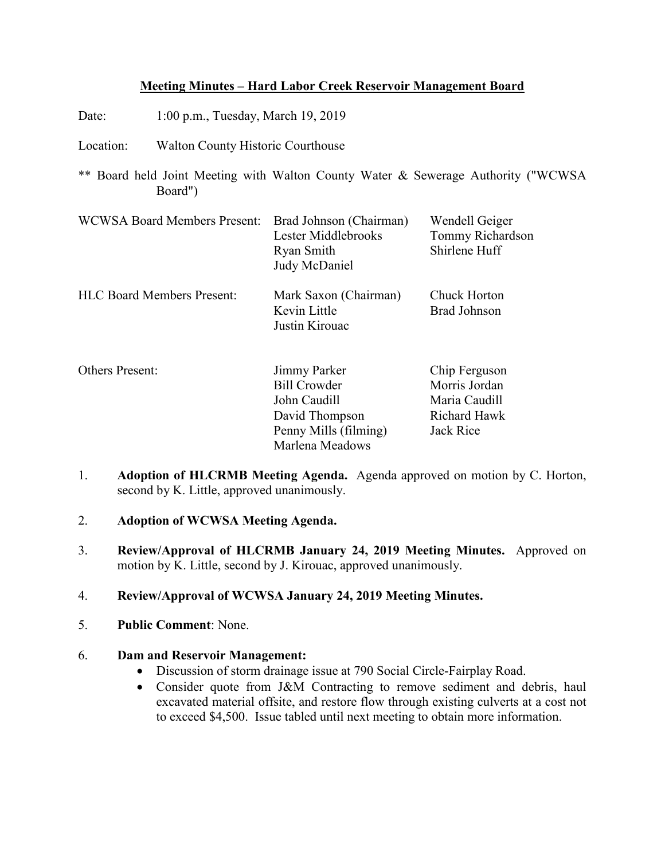# **Meeting Minutes – Hard Labor Creek Reservoir Management Board**

- Date: 1:00 p.m., Tuesday, March 19, 2019
- Location: Walton County Historic Courthouse
- \*\* Board held Joint Meeting with Walton County Water & Sewerage Authority ("WCWSA Board")

| <b>WCWSA Board Members Present:</b> | Brad Johnson (Chairman)<br>Lester Middlebrooks<br>Ryan Smith<br>Judy McDaniel | Wendell Geiger<br>Tommy Richardson<br>Shirlene Huff |
|-------------------------------------|-------------------------------------------------------------------------------|-----------------------------------------------------|
| <b>HLC Board Members Present:</b>   | Mark Saxon (Chairman)<br>Kevin Little<br>Justin Kirouac                       | Chuck Horton<br><b>Brad Johnson</b>                 |
| Others Present:                     | Jimmy Parker                                                                  | Chip Ferguson                                       |

| Others Present: | Jimmy Parker          | Chip Ferguson |
|-----------------|-----------------------|---------------|
|                 | <b>Bill Crowder</b>   | Morris Jordan |
|                 | John Caudill          | Maria Caudill |
|                 | David Thompson        | Richard Hawk  |
|                 | Penny Mills (filming) | Jack Rice     |
|                 | Marlena Meadows       |               |

- 1. **Adoption of HLCRMB Meeting Agenda.** Agenda approved on motion by C. Horton, second by K. Little, approved unanimously.
- 2. **Adoption of WCWSA Meeting Agenda.**
- 3. **Review/Approval of HLCRMB January 24, 2019 Meeting Minutes.** Approved on motion by K. Little, second by J. Kirouac, approved unanimously.
- 4. **Review/Approval of WCWSA January 24, 2019 Meeting Minutes.**
- 5. **Public Comment**: None.

# 6. **Dam and Reservoir Management:**

- Discussion of storm drainage issue at 790 Social Circle-Fairplay Road.
- Consider quote from J&M Contracting to remove sediment and debris, haul excavated material offsite, and restore flow through existing culverts at a cost not to exceed \$4,500. Issue tabled until next meeting to obtain more information.